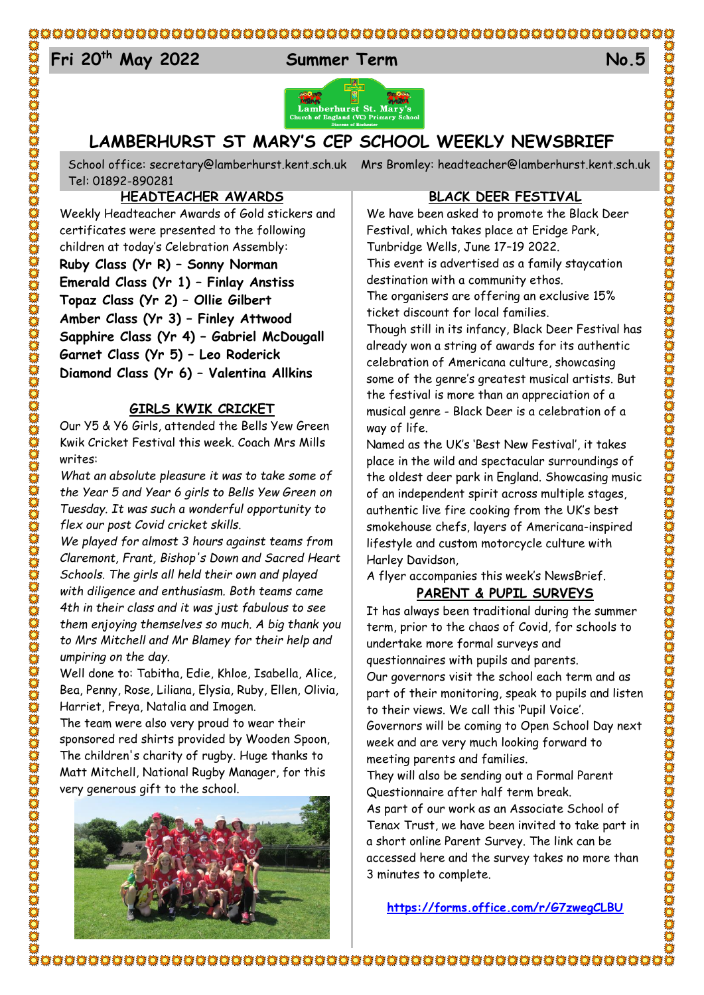#### $E_{4}$ **Fri 20th May 2022 Summer Term No.5**



# **LAMBERHURST ST MARY'S CEP SCHOOL WEEKLY NEWSBRIEF**

School office: [secretary@lamberhurst.kent.sch.uk](mailto:secretary@lamberhurst.kent.sch.uk) Mrs Bromley: headteacher@lamberhurst.kent.sch.uk Tel: 01892-890281

**HEADTEACHER AWARDS**

Weekly Headteacher Awards of Gold stickers and certificates were presented to the following children at today's Celebration Assembly: **Ruby Class (Yr R) – Sonny Norman Emerald Class (Yr 1) – Finlay Anstiss Topaz Class (Yr 2) – Ollie Gilbert Amber Class (Yr 3) – Finley Attwood Sapphire Class (Yr 4) – Gabriel McDougall Garnet Class (Yr 5) – Leo Roderick Diamond Class (Yr 6) – Valentina Allkins**

#### **GIRLS KWIK CRICKET**

Our Y5 & Y6 Girls, attended the Bells Yew Green Kwik Cricket Festival this week. Coach Mrs Mills writes:

*What an absolute pleasure it was to take some of the Year 5 and Year 6 girls to Bells Yew Green on Tuesday. It was such a wonderful opportunity to flex our post Covid cricket skills.* 

*We played for almost 3 hours against teams from Claremont, Frant, Bishop's Down and Sacred Heart Schools. The girls all held their own and played with diligence and enthusiasm. Both teams came 4th in their class and it was just fabulous to see them enjoying themselves so much. A big thank you to Mrs Mitchell and Mr Blamey for their help and umpiring on the day.*

Well done to: Tabitha, Edie, Khloe, Isabella, Alice, Bea, Penny, Rose, Liliana, Elysia, Ruby, Ellen, Olivia, Harriet, Freya, Natalia and Imogen.

The team were also very proud to wear their sponsored red shirts provided by Wooden Spoon, The children's charity of rugby. Huge thanks to Matt Mitchell, National Rugby Manager, for this very generous gift to the school.



#### **BLACK DEER FESTIVAL**

We have been asked to promote the Black Deer Festival, which takes place at Eridge Park, Tunbridge Wells, June 17–19 2022. This event is advertised as a family staycation destination with a community ethos.

The organisers are offering an exclusive 15% ticket discount for local families.

Though still in its infancy, Black Deer Festival has already won a string of awards for its authentic celebration of Americana culture, showcasing some of the genre's greatest musical artists. But the festival is more than an appreciation of a musical genre - Black Deer is a celebration of a way of life.

Named as the UK's 'Best New Festival', it takes place in the wild and spectacular surroundings of the oldest deer park in England. Showcasing music of an independent spirit across multiple stages, authentic live fire cooking from the UK's best smokehouse chefs, layers of Americana-inspired lifestyle and custom motorcycle culture with Harley Davidson,

A flyer accompanies this week's NewsBrief.

## **PARENT & PUPIL SURVEYS**

It has always been traditional during the summer term, prior to the chaos of Covid, for schools to undertake more formal surveys and questionnaires with pupils and parents. Our governors visit the school each term and as part of their monitoring, speak to pupils and listen to their views. We call this 'Pupil Voice'. Governors will be coming to Open School Day next week and are very much looking forward to meeting parents and families.

They will also be sending out a Formal Parent Questionnaire after half term break.

As part of our work as an Associate School of Tenax Trust, we have been invited to take part in a short online Parent Survey. The link can be accessed here and the survey takes no more than 3 minutes to complete.

**<https://forms.office.com/r/G7zwegCLBU>**